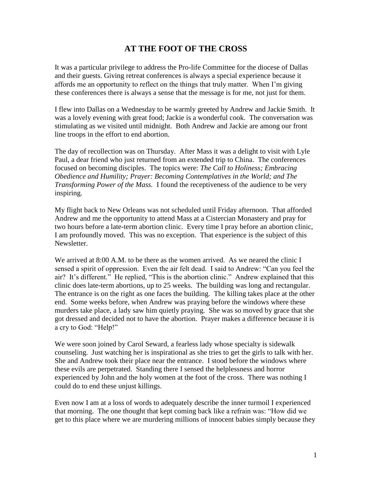## **AT THE FOOT OF THE CROSS**

It was a particular privilege to address the Pro-life Committee for the diocese of Dallas and their guests. Giving retreat conferences is always a special experience because it affords me an opportunity to reflect on the things that truly matter. When I'm giving these conferences there is always a sense that the message is for me, not just for them.

I flew into Dallas on a Wednesday to be warmly greeted by Andrew and Jackie Smith. It was a lovely evening with great food; Jackie is a wonderful cook. The conversation was stimulating as we visited until midnight. Both Andrew and Jackie are among our front line troops in the effort to end abortion.

The day of recollection was on Thursday. After Mass it was a delight to visit with Lyle Paul, a dear friend who just returned from an extended trip to China. The conferences focused on becoming disciples. The topics were: *The Call to Holiness; Embracing Obedience and Humility; Prayer: Becoming Contemplatives in the World; and The Transforming Power of the Mass.* I found the receptiveness of the audience to be very inspiring.

My flight back to New Orleans was not scheduled until Friday afternoon. That afforded Andrew and me the opportunity to attend Mass at a Cistercian Monastery and pray for two hours before a late-term abortion clinic. Every time I pray before an abortion clinic, I am profoundly moved. This was no exception. That experience is the subject of this Newsletter.

We arrived at 8:00 A.M. to be there as the women arrived. As we neared the clinic I sensed a spirit of oppression. Even the air felt dead. I said to Andrew: "Can you feel the air? It's different." He replied, "This is the abortion clinic." Andrew explained that this clinic does late-term abortions, up to 25 weeks. The building was long and rectangular. The entrance is on the right as one faces the building. The killing takes place at the other end. Some weeks before, when Andrew was praying before the windows where these murders take place, a lady saw him quietly praying. She was so moved by grace that she got dressed and decided not to have the abortion. Prayer makes a difference because it is a cry to God: "Help!"

We were soon joined by Carol Seward, a fearless lady whose specialty is sidewalk counseling. Just watching her is inspirational as she tries to get the girls to talk with her. She and Andrew took their place near the entrance. I stood before the windows where these evils are perpetrated. Standing there I sensed the helplessness and horror experienced by John and the holy women at the foot of the cross. There was nothing I could do to end these unjust killings.

Even now I am at a loss of words to adequately describe the inner turmoil I experienced that morning. The one thought that kept coming back like a refrain was: "How did we get to this place where we are murdering millions of innocent babies simply because they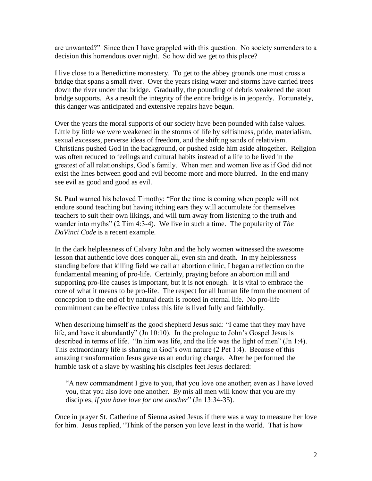are unwanted?" Since then I have grappled with this question. No society surrenders to a decision this horrendous over night. So how did we get to this place?

I live close to a Benedictine monastery. To get to the abbey grounds one must cross a bridge that spans a small river. Over the years rising water and storms have carried trees down the river under that bridge. Gradually, the pounding of debris weakened the stout bridge supports. As a result the integrity of the entire bridge is in jeopardy. Fortunately, this danger was anticipated and extensive repairs have begun.

Over the years the moral supports of our society have been pounded with false values. Little by little we were weakened in the storms of life by selfishness, pride, materialism, sexual excesses, perverse ideas of freedom, and the shifting sands of relativism. Christians pushed God in the background, or pushed aside him aside altogether. Religion was often reduced to feelings and cultural habits instead of a life to be lived in the greatest of all relationships, God's family. When men and women live as if God did not exist the lines between good and evil become more and more blurred. In the end many see evil as good and good as evil.

St. Paul warned his beloved Timothy: "For the time is coming when people will not endure sound teaching but having itching ears they will accumulate for themselves teachers to suit their own likings, and will turn away from listening to the truth and wander into myths" (2 Tim 4:3-4). We live in such a time. The popularity of *The DaVinci Code* is a recent example.

In the dark helplessness of Calvary John and the holy women witnessed the awesome lesson that authentic love does conquer all, even sin and death. In my helplessness standing before that killing field we call an abortion clinic, I began a reflection on the fundamental meaning of pro-life. Certainly, praying before an abortion mill and supporting pro-life causes is important, but it is not enough. It is vital to embrace the core of what it means to be pro-life. The respect for all human life from the moment of conception to the end of by natural death is rooted in eternal life. No pro-life commitment can be effective unless this life is lived fully and faithfully.

When describing himself as the good shepherd Jesus said: "I came that they may have life, and have it abundantly" (Jn 10:10). In the prologue to John's Gospel Jesus is described in terms of life. "In him was life, and the life was the light of men" (Jn 1:4). This extraordinary life is sharing in God's own nature (2 Pet 1:4). Because of this amazing transformation Jesus gave us an enduring charge. After he performed the humble task of a slave by washing his disciples feet Jesus declared:

"A new commandment I give to you, that you love one another; even as I have loved you, that you also love one another. *By this* all men will know that you are my disciples, *if you have love for one another*" (Jn 13:34-35).

Once in prayer St. Catherine of Sienna asked Jesus if there was a way to measure her love for him. Jesus replied, "Think of the person you love least in the world. That is how